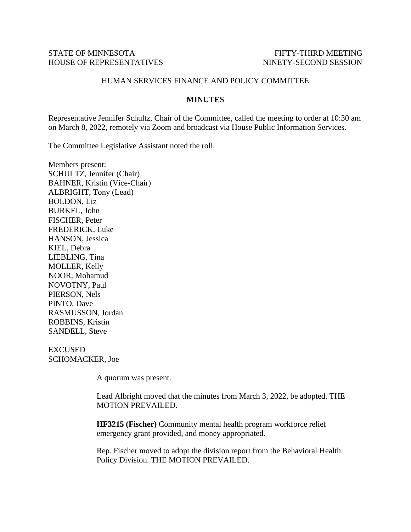## STATE OF MINNESOTA FIFTY-THIRD MEETING HOUSE OF REPRESENTATIVES NINETY-SECOND SESSION

## HUMAN SERVICES FINANCE AND POLICY COMMITTEE

## **MINUTES**

Representative Jennifer Schultz, Chair of the Committee, called the meeting to order at 10:30 am on March 8, 2022, remotely via Zoom and broadcast via House Public Information Services.

The Committee Legislative Assistant noted the roll.

Members present: SCHULTZ, Jennifer (Chair) BAHNER, Kristin (Vice-Chair) ALBRIGHT, Tony (Lead) BOLDON, Liz BURKEL, John FISCHER, Peter FREDERICK, Luke HANSON, Jessica KIEL, Debra LIEBLING, Tina MOLLER, Kelly NOOR, Mohamud NOVOTNY, Paul PIERSON, Nels PINTO, Dave RASMUSSON, Jordan ROBBINS, Kristin SANDELL, Steve

EXCUSED SCHOMACKER, Joe

A quorum was present.

Lead Albright moved that the minutes from March 3, 2022, be adopted. THE MOTION PREVAILED.

**HF3215 (Fischer)** Community mental health program workforce relief emergency grant provided, and money appropriated.

Rep. Fischer moved to adopt the division report from the Behavioral Health Policy Division. THE MOTION PREVAILED.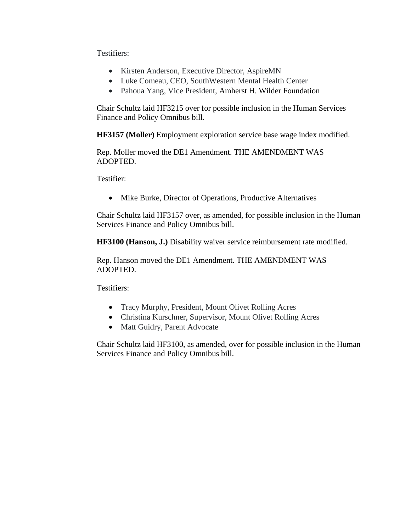Testifiers:

- Kirsten Anderson, Executive Director, AspireMN
- Luke Comeau, CEO, SouthWestern Mental Health Center
- Pahoua Yang, Vice President, Amherst H. Wilder Foundation

Chair Schultz laid HF3215 over for possible inclusion in the Human Services Finance and Policy Omnibus bill.

**HF3157 (Moller)** Employment exploration service base wage index modified.

Rep. Moller moved the DE1 Amendment. THE AMENDMENT WAS ADOPTED.

Testifier:

• Mike Burke, Director of Operations, Productive Alternatives

Chair Schultz laid HF3157 over, as amended, for possible inclusion in the Human Services Finance and Policy Omnibus bill.

**HF3100 (Hanson, J.)** Disability waiver service reimbursement rate modified.

Rep. Hanson moved the DE1 Amendment. THE AMENDMENT WAS ADOPTED.

Testifiers:

- Tracy Murphy, President, Mount Olivet Rolling Acres
- Christina Kurschner, Supervisor, Mount Olivet Rolling Acres
- Matt Guidry, Parent Advocate

Chair Schultz laid HF3100, as amended, over for possible inclusion in the Human Services Finance and Policy Omnibus bill.